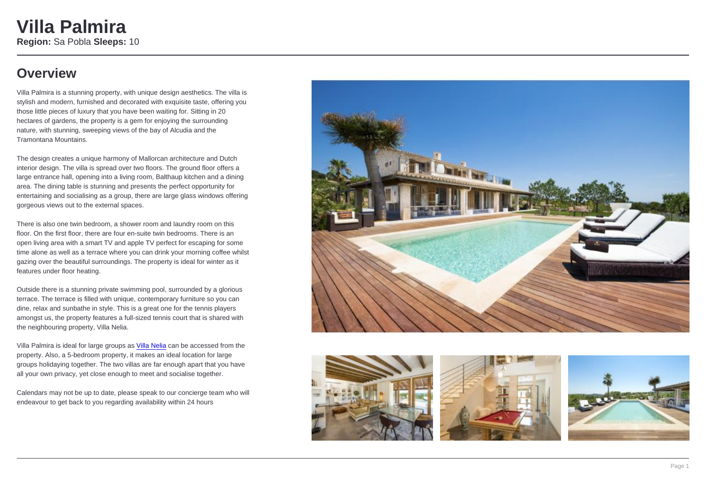# Villa Palmira

Region: Sa Pobla Sleeps: 10

### **Overview**

Villa Palmira is a stunning property, with unique design aesthetics. The villa is stylish and modern, furnished and decorated with exquisite taste, offering you those little pieces of luxury that you have been waiting for. Sitting in 20 hectares of gardens, the property is a gem for enjoying the surrounding nature, with stunning, sweeping views of the bay of Alcudia and the Tramontana Mountains.

The design creates a unique harmony of Mallorcan architecture and Dutch interior design. The villa is spread over two floors. The ground floor offers a large entrance hall, opening into a living [room, Balt](https://www.oliverstravels.com/spain/mallorca/sa-pobla/villa-nelia/)haup kitchen and a dining area. The dining table is stunning and presents the perfect opportunity for entertaining and socialising as a group, there are large glass windows offering gorgeous views out to the external spaces.

There is also one twin bedroom, a shower room and laundry room on this floor. On the first floor, there are four en-suite twin bedrooms. There is an open living area with a smart TV and apple TV perfect for escaping for some time alone as well as a terrace where you can drink your morning coffee whilst gazing over the beautiful surroundings. The property is ideal for winter as it features under floor heating.

Outside there is a stunning private swimming pool, surrounded by a glorious terrace. The terrace is filled with unique, contemporary furniture so you can dine, relax and sunbathe in style. This is a great one for the tennis players amongst us, the property features a full-sized tennis court that is shared with the neighbouring property, Villa Nelia.

Villa Palmira is ideal for large groups as Villa Nelia can be accessed from the property. Also, a 5-bedroom property, it makes an ideal location for large groups holidaying together. The two villas are far enough apart that you have all your own privacy, yet close enough to meet and socialise together.

Calendars may not be up to date, please speak to our concierge team who will endeavour to get back to you regarding availability within 24 hours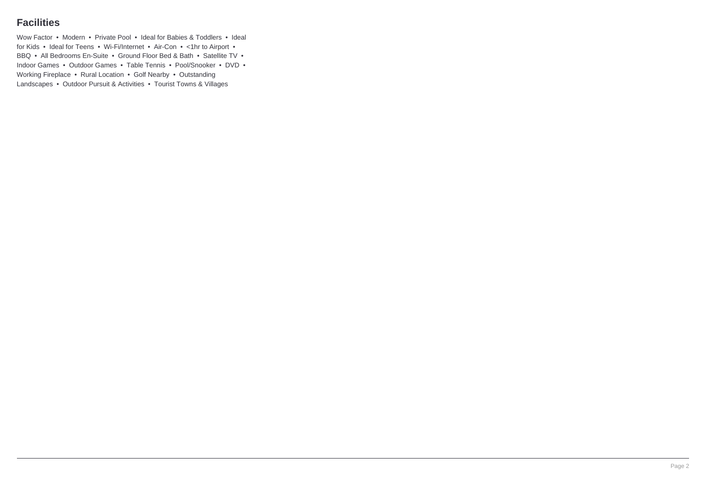### **Facilities**

Wow Factor • Modern • Private Pool • Ideal for Babies & Toddlers • Ideal for Kids • Ideal for Teens • Wi-Fi/Internet • Air-Con • <1hr to Airport • BBQ • All Bedrooms En-Suite • Ground Floor Bed & Bath • Satellite TV • Indoor Games • Outdoor Games • Table Tennis • Pool/Snooker • DVD • Working Fireplace • Rural Location • Golf Nearby • Outstanding Landscapes • Outdoor Pursuit & Activities • Tourist Towns & Villages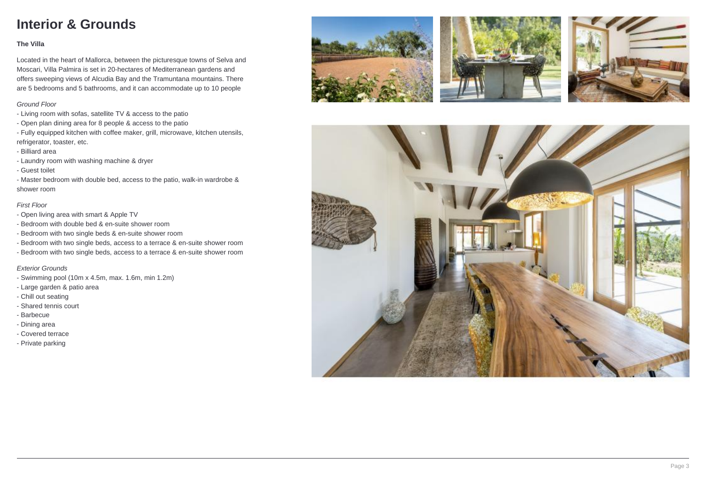## **Interior & Grounds**

#### **The Villa**

Located in the heart of Mallorca, between the picturesque towns of Selva and Moscari, Villa Palmira is set in 20-hectares of Mediterranean gardens and offers sweeping views of Alcudia Bay and the Tramuntana mountains. There are 5 bedrooms and 5 bathrooms, and it can accommodate up to 10 people

#### Ground Floor

- Living room with sofas, satellite TV & access to the patio
- Open plan dining area for 8 people & access to the patio
- Fully equipped kitchen with coffee maker, grill, microwave, kitchen utensils, refrigerator, toaster, etc.
- Billiard area
- Laundry room with washing machine & dryer
- Guest toilet
- Master bedroom with double bed, access to the patio, walk-in wardrobe & shower room

#### First Floor

- Open living area with smart & Apple TV
- Bedroom with double bed & en-suite shower room
- Bedroom with two single beds & en-suite shower room
- Bedroom with two single beds, access to a terrace & en-suite shower room
- Bedroom with two single beds, access to a terrace & en-suite shower room

#### Exterior Grounds

- Swimming pool (10m x 4.5m, max. 1.6m, min 1.2m)
- Large garden & patio area
- Chill out seating
- Shared tennis court
- Barbecue
- Dining area
- Covered terrace
- Private parking







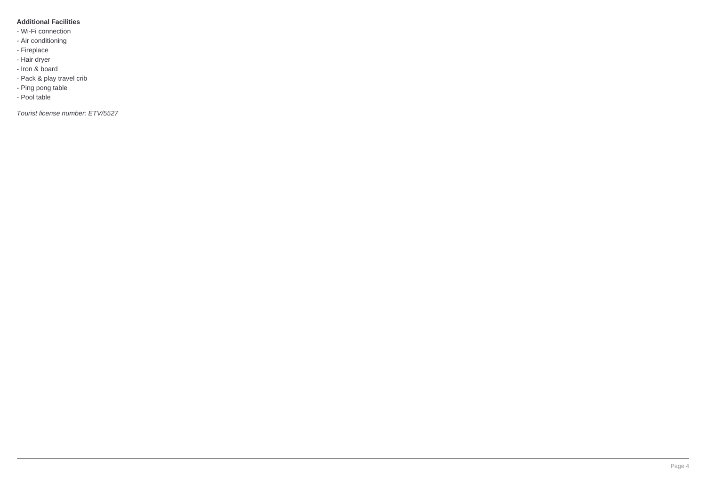#### **Additional Facilities**

- Wi-Fi connection
- Air conditioning
- Fireplace
- Hair dryer
- Iron & board
- Pack & play travel crib
- Ping pong table
- Pool table

Tourist license number: ETV/5527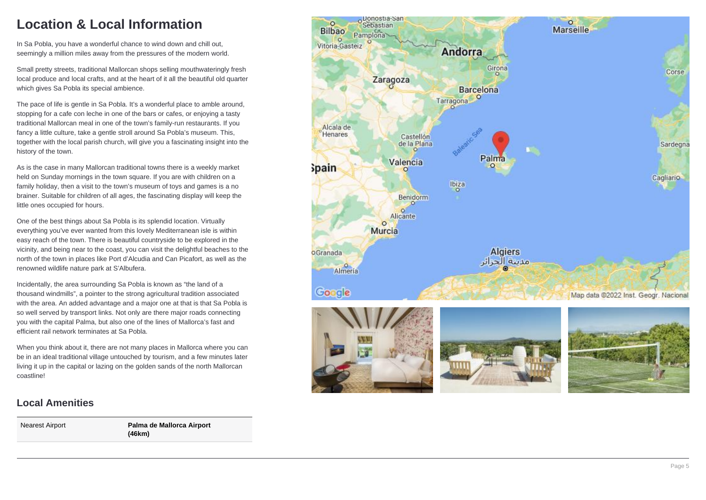### **Location & Local Information**

In Sa Pobla, you have a wonderful chance to wind down and chill out, seemingly a million miles away from the pressures of the modern world.

Small pretty streets, traditional Mallorcan shops selling mouthwateringly fresh local produce and local crafts, and at the heart of it all the beautiful old quarter which gives Sa Pobla its special ambience.

The pace of life is gentle in Sa Pobla. It's a wonderful place to amble around, stopping for a cafe con leche in one of the bars or cafes, or enjoying a tasty traditional Mallorcan meal in one of the town's family-run restaurants. If you fancy a little culture, take a gentle stroll around Sa Pobla's museum. This, together with the local parish church, will give you a fascinating insight into the history of the town.

As is the case in many Mallorcan traditional towns there is a weekly market held on Sunday mornings in the town square. If you are with children on a family holiday, then a visit to the town's museum of toys and games is a no brainer. Suitable for children of all ages, the fascinating display will keep the little ones occupied for hours.

One of the best things about Sa Pobla is its splendid location. Virtually everything you've ever wanted from this lovely Mediterranean isle is within easy reach of the town. There is beautiful countryside to be explored in the vicinity, and being near to the coast, you can visit the delightful beaches to the north of the town in places like Port d'Alcudia and Can Picafort, as well as the renowned wildlife nature park at S'Albufera.

Incidentally, the area surrounding Sa Pobla is known as "the land of a thousand windmills", a pointer to the strong agricultural tradition associated with the area. An added advantage and a major one at that is that Sa Pobla is so well served by transport links. Not only are there major roads connecting you with the capital Palma, but also one of the lines of Mallorca's fast and efficient rail network terminates at Sa Pobla.

When you think about it, there are not many places in Mallorca where you can be in an ideal traditional village untouched by tourism, and a few minutes later living it up in the capital or lazing on the golden sands of the north Mallorcan coastline!

### **Local Amenities**

Nearest Airport **Palma de Mallorca Airport (46km)**

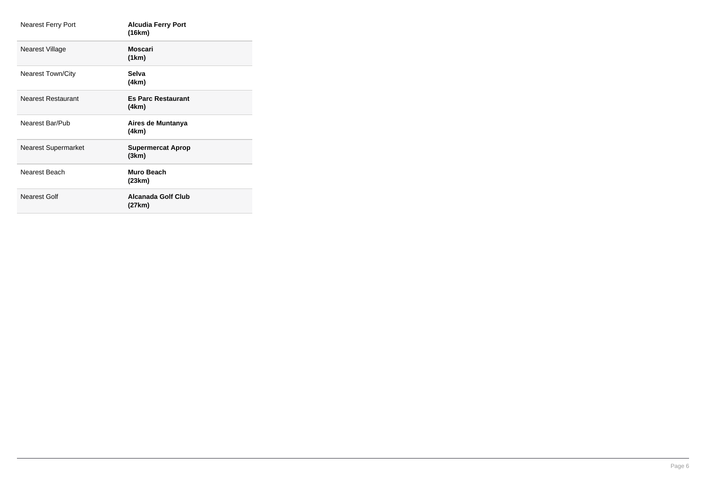| Nearest Ferry Port         | <b>Alcudia Ferry Port</b><br>(16km) |
|----------------------------|-------------------------------------|
| Nearest Village            | Moscari<br>(1km)                    |
| Nearest Town/City          | Selva<br>(4km)                      |
| <b>Nearest Restaurant</b>  | <b>Es Parc Restaurant</b><br>(4km)  |
| Nearest Bar/Pub            | Aires de Muntanya<br>(4km)          |
| <b>Nearest Supermarket</b> | <b>Supermercat Aprop</b><br>(3km)   |
| Nearest Beach              | Muro Beach<br>(23km)                |
| Nearest Golf               | Alcanada Golf Club<br>(27km)        |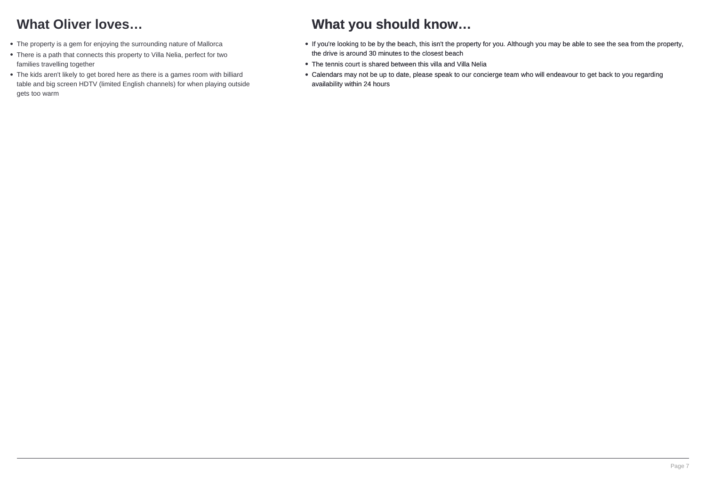## **What Oliver loves…**

- The property is a gem for enjoying the surrounding nature of Mallorca
- There is a path that connects this property to Villa Nelia, perfect for two families travelling together
- The kids aren't likely to get bored here as there is a games room with billiard table and big screen HDTV (limited English channels) for when playing outside gets too warm

### **What you should know…**

- If you're looking to be by the beach, this isn't the property for you. Although you may be able to see the sea from the property, the drive is around 30 minutes to the closest beach
- The tennis court is shared between this villa and Villa Nelia
- Calendars may not be up to date, please speak to our concierge team who will endeavour to get back to you regarding availability within 24 hours